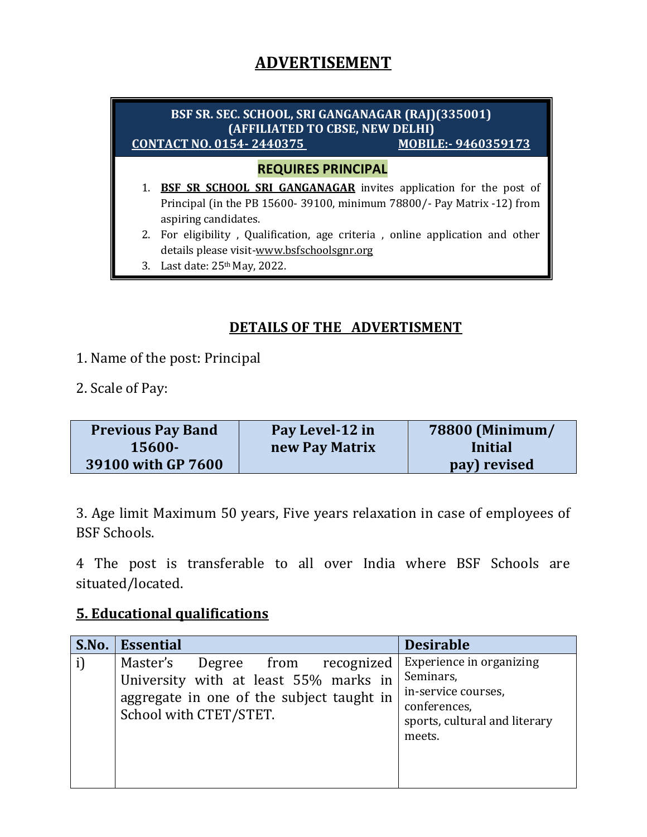# **ADVERTISEMENT**

### **REQUIRES PRINCIPAL** 1. **BSF SR SCHOOL SRI GANGANAGAR** invites application for the post of Principal (in the PB 15600- 39100, minimum 78800/- Pay Matrix -12) from aspiring candidates. 2. For eligibility , Qualification, age criteria , online application and other details please visit-www.bsfschoolsgnr.org 3. Last date: 25th May, 2022. **BSF SR. SEC. SCHOOL, SRI GANGANAGAR (RAJ)(335001) (AFFILIATED TO CBSE, NEW DELHI) CONTACT NO. 0154- 2440375 MOBILE:- 9460359173**

### **DETAILS OF THE ADVERTISMENT**

- 1. Name of the post: Principal
- 2. Scale of Pay:

| <b>Previous Pay Band</b> | Pay Level-12 in | 78800 (Minimum/ |
|--------------------------|-----------------|-----------------|
| 15600-                   | new Pay Matrix  | Initial         |
| 39100 with GP 7600       |                 | pay) revised    |

3. Age limit Maximum 50 years, Five years relaxation in case of employees of BSF Schools.

4 The post is transferable to all over India where BSF Schools are situated/located.

#### **5. Educational qualifications**

| S.No. | Essential                                                                                                                                          | <b>Desirable</b>                                                                                                        |
|-------|----------------------------------------------------------------------------------------------------------------------------------------------------|-------------------------------------------------------------------------------------------------------------------------|
|       | Master's<br>Degree from recognized<br>University with at least 55% marks in<br>aggregate in one of the subject taught in<br>School with CTET/STET. | Experience in organizing<br>Seminars,<br>in-service courses,<br>conferences,<br>sports, cultural and literary<br>meets. |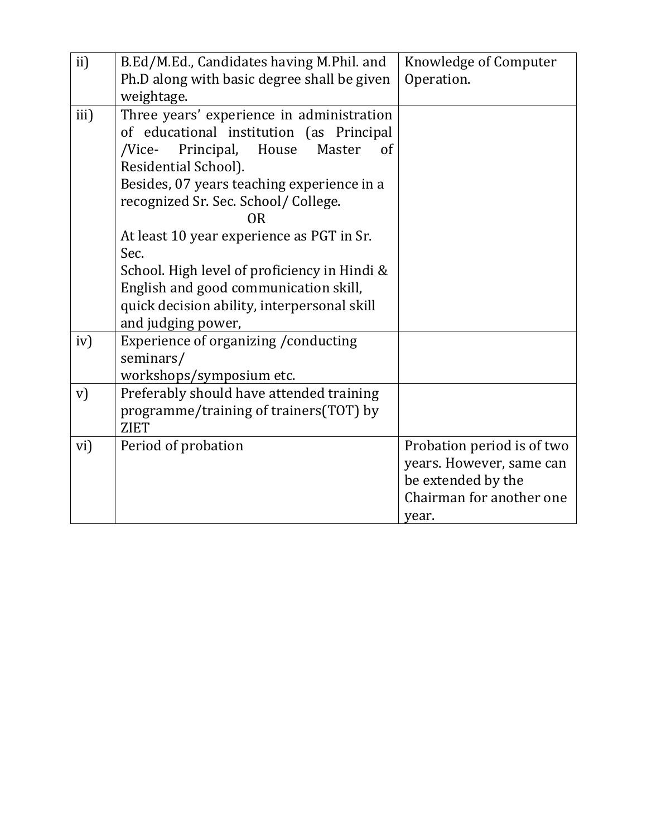| ii)  | B.Ed/M.Ed., Candidates having M.Phil. and    | Knowledge of Computer      |
|------|----------------------------------------------|----------------------------|
|      | Ph.D along with basic degree shall be given  | Operation.                 |
|      | weightage.                                   |                            |
| iii) | Three years' experience in administration    |                            |
|      | of educational institution (as Principal     |                            |
|      | Principal, House<br>Master<br>/Vice-<br>of   |                            |
|      | Residential School).                         |                            |
|      | Besides, 07 years teaching experience in a   |                            |
|      | recognized Sr. Sec. School/ College.         |                            |
|      | 0R                                           |                            |
|      | At least 10 year experience as PGT in Sr.    |                            |
|      | Sec.                                         |                            |
|      | School. High level of proficiency in Hindi & |                            |
|      | English and good communication skill,        |                            |
|      | quick decision ability, interpersonal skill  |                            |
|      | and judging power,                           |                            |
| iv)  | Experience of organizing / conducting        |                            |
|      | seminars/                                    |                            |
|      | workshops/symposium etc.                     |                            |
| V)   | Preferably should have attended training     |                            |
|      | programme/training of trainers(TOT) by       |                            |
|      | <b>ZIET</b>                                  |                            |
| vi)  | Period of probation                          | Probation period is of two |
|      |                                              | years. However, same can   |
|      |                                              | be extended by the         |
|      |                                              | Chairman for another one   |
|      |                                              | year.                      |